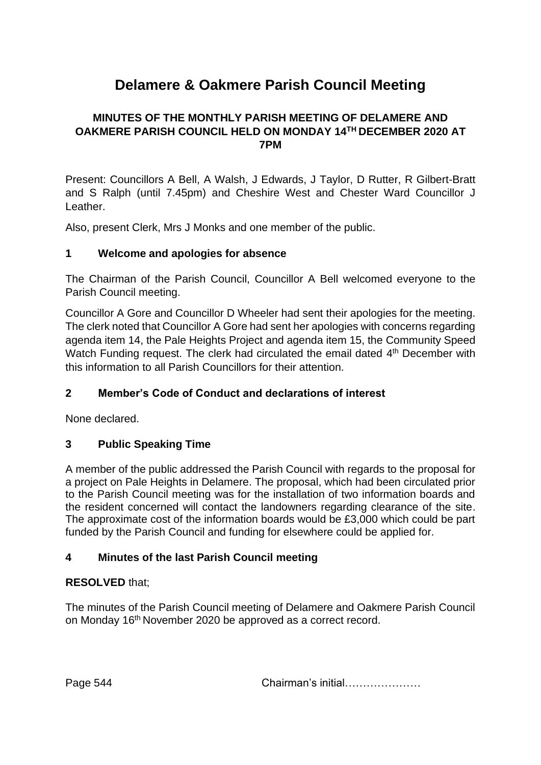# **Delamere & Oakmere Parish Council Meeting**

# **MINUTES OF THE MONTHLY PARISH MEETING OF DELAMERE AND OAKMERE PARISH COUNCIL HELD ON MONDAY 14TH DECEMBER 2020 AT 7PM**

Present: Councillors A Bell, A Walsh, J Edwards, J Taylor, D Rutter, R Gilbert-Bratt and S Ralph (until 7.45pm) and Cheshire West and Chester Ward Councillor J Leather.

Also, present Clerk, Mrs J Monks and one member of the public.

## **1 Welcome and apologies for absence**

The Chairman of the Parish Council, Councillor A Bell welcomed everyone to the Parish Council meeting.

Councillor A Gore and Councillor D Wheeler had sent their apologies for the meeting. The clerk noted that Councillor A Gore had sent her apologies with concerns regarding agenda item 14, the Pale Heights Project and agenda item 15, the Community Speed Watch Funding request. The clerk had circulated the email dated 4<sup>th</sup> December with this information to all Parish Councillors for their attention.

# **2 Member's Code of Conduct and declarations of interest**

None declared.

## **3 Public Speaking Time**

A member of the public addressed the Parish Council with regards to the proposal for a project on Pale Heights in Delamere. The proposal, which had been circulated prior to the Parish Council meeting was for the installation of two information boards and the resident concerned will contact the landowners regarding clearance of the site. The approximate cost of the information boards would be £3,000 which could be part funded by the Parish Council and funding for elsewhere could be applied for.

## **4 Minutes of the last Parish Council meeting**

## **RESOLVED** that;

The minutes of the Parish Council meeting of Delamere and Oakmere Parish Council on Monday 16<sup>th</sup> November 2020 be approved as a correct record.

Page 544 **Chairman's initial………………**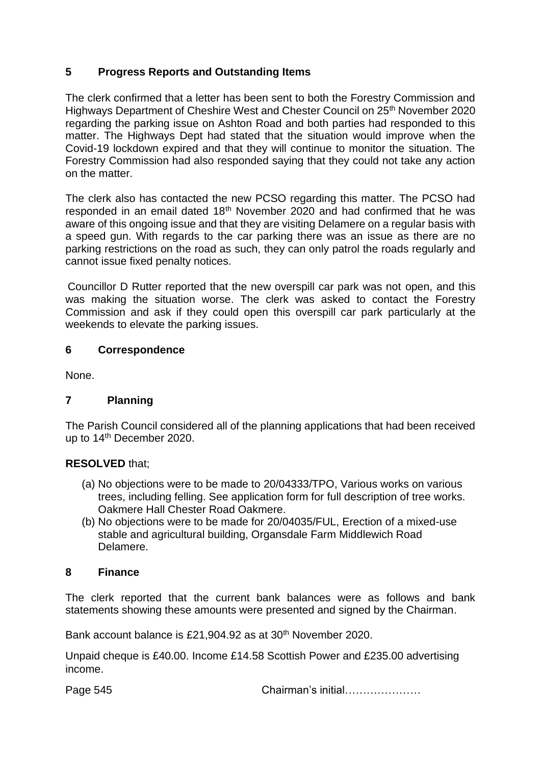## **5 Progress Reports and Outstanding Items**

The clerk confirmed that a letter has been sent to both the Forestry Commission and Highways Department of Cheshire West and Chester Council on 25<sup>th</sup> November 2020 regarding the parking issue on Ashton Road and both parties had responded to this matter. The Highways Dept had stated that the situation would improve when the Covid-19 lockdown expired and that they will continue to monitor the situation. The Forestry Commission had also responded saying that they could not take any action on the matter.

The clerk also has contacted the new PCSO regarding this matter. The PCSO had responded in an email dated 18<sup>th</sup> November 2020 and had confirmed that he was aware of this ongoing issue and that they are visiting Delamere on a regular basis with a speed gun. With regards to the car parking there was an issue as there are no parking restrictions on the road as such, they can only patrol the roads regularly and cannot issue fixed penalty notices.

Councillor D Rutter reported that the new overspill car park was not open, and this was making the situation worse. The clerk was asked to contact the Forestry Commission and ask if they could open this overspill car park particularly at the weekends to elevate the parking issues.

#### **6 Correspondence**

None.

## **7 Planning**

The Parish Council considered all of the planning applications that had been received up to 14<sup>th</sup> December 2020.

#### **RESOLVED** that;

- (a) No objections were to be made to 20/04333/TPO, Various works on various trees, including felling. See application form for full description of tree works. Oakmere Hall Chester Road Oakmere.
- (b) No objections were to be made for 20/04035/FUL, Erection of a mixed-use stable and agricultural building, Organsdale Farm Middlewich Road Delamere.

#### **8 Finance**

The clerk reported that the current bank balances were as follows and bank statements showing these amounts were presented and signed by the Chairman.

Bank account balance is £21,904.92 as at 30<sup>th</sup> November 2020.

Unpaid cheque is £40.00. Income £14.58 Scottish Power and £235.00 advertising income.

Page 545 **Chairman's initial………………**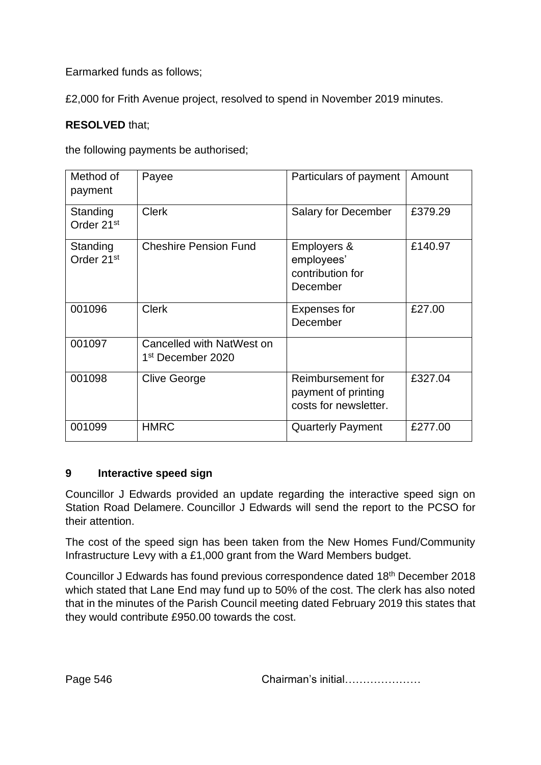Earmarked funds as follows;

£2,000 for Frith Avenue project, resolved to spend in November 2019 minutes.

# **RESOLVED** that;

the following payments be authorised;

| Method of<br>payment               | Payee                                                      | Particulars of payment                                            | Amount  |
|------------------------------------|------------------------------------------------------------|-------------------------------------------------------------------|---------|
| Standing<br>Order 21 <sup>st</sup> | <b>Clerk</b>                                               | <b>Salary for December</b>                                        | £379.29 |
| Standing<br>Order 21 <sup>st</sup> | <b>Cheshire Pension Fund</b>                               | Employers &<br>employees'<br>contribution for<br>December         | £140.97 |
| 001096                             | <b>Clerk</b>                                               | <b>Expenses for</b><br>December                                   | £27.00  |
| 001097                             | Cancelled with NatWest on<br>1 <sup>st</sup> December 2020 |                                                                   |         |
| 001098                             | <b>Clive George</b>                                        | Reimbursement for<br>payment of printing<br>costs for newsletter. | £327.04 |
| 001099                             | <b>HMRC</b>                                                | <b>Quarterly Payment</b>                                          | £277.00 |

## **9 Interactive speed sign**

Councillor J Edwards provided an update regarding the interactive speed sign on Station Road Delamere. Councillor J Edwards will send the report to the PCSO for their attention.

The cost of the speed sign has been taken from the New Homes Fund/Community Infrastructure Levy with a £1,000 grant from the Ward Members budget.

Councillor J Edwards has found previous correspondence dated 18th December 2018 which stated that Lane End may fund up to 50% of the cost. The clerk has also noted that in the minutes of the Parish Council meeting dated February 2019 this states that they would contribute £950.00 towards the cost.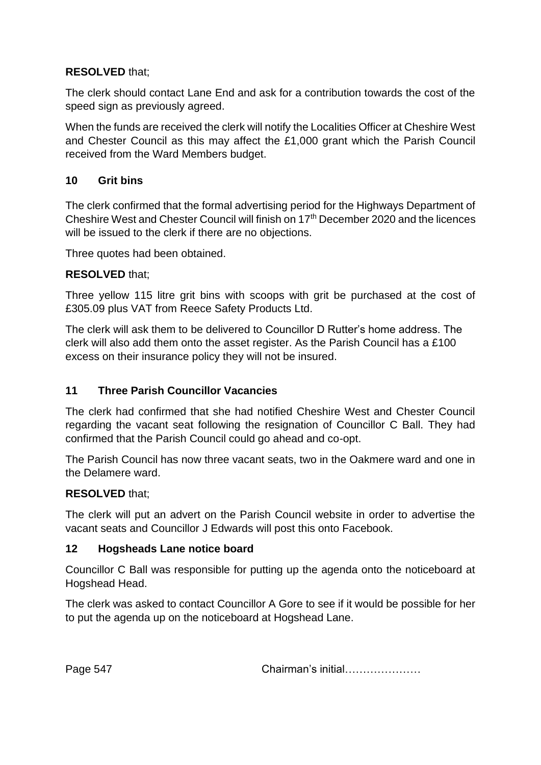# **RESOLVED** that;

The clerk should contact Lane End and ask for a contribution towards the cost of the speed sign as previously agreed.

When the funds are received the clerk will notify the Localities Officer at Cheshire West and Chester Council as this may affect the £1,000 grant which the Parish Council received from the Ward Members budget.

## **10 Grit bins**

The clerk confirmed that the formal advertising period for the Highways Department of Cheshire West and Chester Council will finish on 17th December 2020 and the licences will be issued to the clerk if there are no objections.

Three quotes had been obtained.

## **RESOLVED** that;

Three yellow 115 litre grit bins with scoops with grit be purchased at the cost of £305.09 plus VAT from Reece Safety Products Ltd.

The clerk will ask them to be delivered to Councillor D Rutter's home address. The clerk will also add them onto the asset register. As the Parish Council has a £100 excess on their insurance policy they will not be insured.

## **11 Three Parish Councillor Vacancies**

The clerk had confirmed that she had notified Cheshire West and Chester Council regarding the vacant seat following the resignation of Councillor C Ball. They had confirmed that the Parish Council could go ahead and co-opt.

The Parish Council has now three vacant seats, two in the Oakmere ward and one in the Delamere ward.

## **RESOLVED** that;

The clerk will put an advert on the Parish Council website in order to advertise the vacant seats and Councillor J Edwards will post this onto Facebook.

## **12 Hogsheads Lane notice board**

Councillor C Ball was responsible for putting up the agenda onto the noticeboard at Hogshead Head.

The clerk was asked to contact Councillor A Gore to see if it would be possible for her to put the agenda up on the noticeboard at Hogshead Lane.

Page 547 **Chairman's initial………………**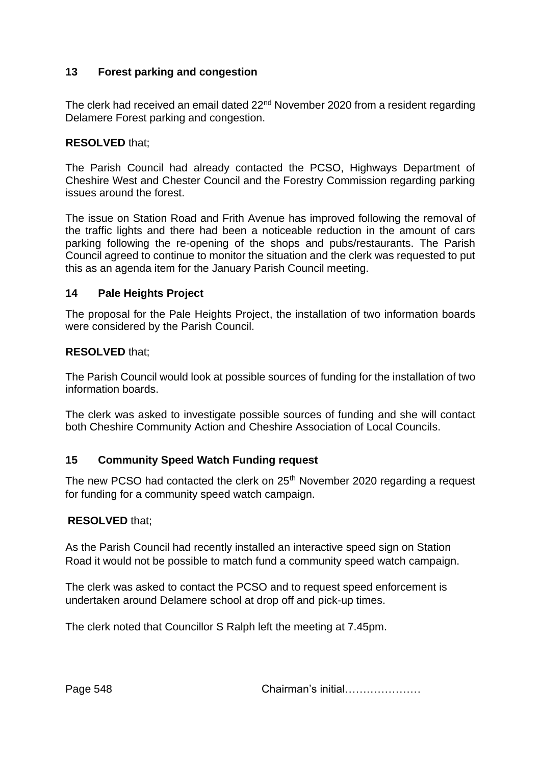## **13 Forest parking and congestion**

The clerk had received an email dated 22<sup>nd</sup> November 2020 from a resident regarding Delamere Forest parking and congestion.

#### **RESOLVED** that;

The Parish Council had already contacted the PCSO, Highways Department of Cheshire West and Chester Council and the Forestry Commission regarding parking issues around the forest.

The issue on Station Road and Frith Avenue has improved following the removal of the traffic lights and there had been a noticeable reduction in the amount of cars parking following the re-opening of the shops and pubs/restaurants. The Parish Council agreed to continue to monitor the situation and the clerk was requested to put this as an agenda item for the January Parish Council meeting.

#### **14 Pale Heights Project**

The proposal for the Pale Heights Project, the installation of two information boards were considered by the Parish Council.

#### **RESOLVED** that;

The Parish Council would look at possible sources of funding for the installation of two information boards.

The clerk was asked to investigate possible sources of funding and she will contact both Cheshire Community Action and Cheshire Association of Local Councils.

## **15 Community Speed Watch Funding request**

The new PCSO had contacted the clerk on 25<sup>th</sup> November 2020 regarding a request for funding for a community speed watch campaign.

#### **RESOLVED** that;

As the Parish Council had recently installed an interactive speed sign on Station Road it would not be possible to match fund a community speed watch campaign.

The clerk was asked to contact the PCSO and to request speed enforcement is undertaken around Delamere school at drop off and pick-up times.

The clerk noted that Councillor S Ralph left the meeting at 7.45pm.

Page 548 **Chairman's initial………………**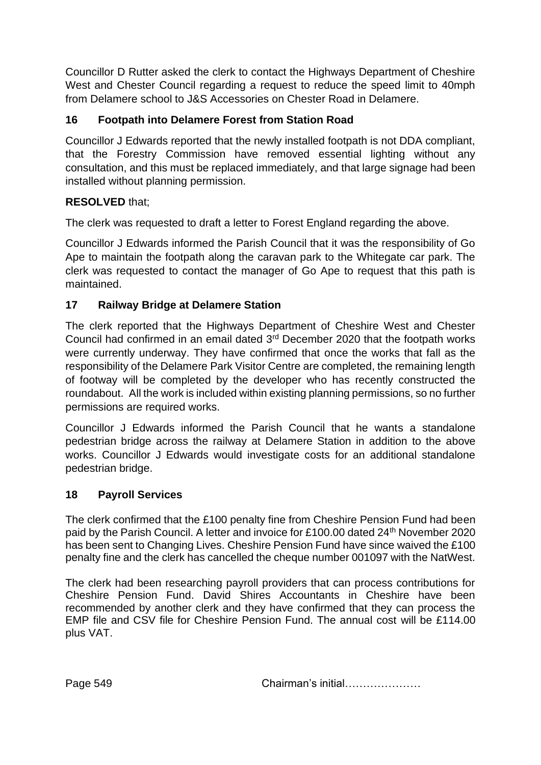Councillor D Rutter asked the clerk to contact the Highways Department of Cheshire West and Chester Council regarding a request to reduce the speed limit to 40mph from Delamere school to J&S Accessories on Chester Road in Delamere.

# **16 Footpath into Delamere Forest from Station Road**

Councillor J Edwards reported that the newly installed footpath is not DDA compliant, that the Forestry Commission have removed essential lighting without any consultation, and this must be replaced immediately, and that large signage had been installed without planning permission.

# **RESOLVED** that;

The clerk was requested to draft a letter to Forest England regarding the above.

Councillor J Edwards informed the Parish Council that it was the responsibility of Go Ape to maintain the footpath along the caravan park to the Whitegate car park. The clerk was requested to contact the manager of Go Ape to request that this path is maintained.

# **17 Railway Bridge at Delamere Station**

The clerk reported that the Highways Department of Cheshire West and Chester Council had confirmed in an email dated 3rd December 2020 that the footpath works were currently underway. They have confirmed that once the works that fall as the responsibility of the Delamere Park Visitor Centre are completed, the remaining length of footway will be completed by the developer who has recently constructed the roundabout. All the work is included within existing planning permissions, so no further permissions are required works.

Councillor J Edwards informed the Parish Council that he wants a standalone pedestrian bridge across the railway at Delamere Station in addition to the above works. Councillor J Edwards would investigate costs for an additional standalone pedestrian bridge.

## **18 Payroll Services**

The clerk confirmed that the £100 penalty fine from Cheshire Pension Fund had been paid by the Parish Council. A letter and invoice for £100.00 dated 24<sup>th</sup> November 2020 has been sent to Changing Lives. Cheshire Pension Fund have since waived the £100 penalty fine and the clerk has cancelled the cheque number 001097 with the NatWest.

The clerk had been researching payroll providers that can process contributions for Cheshire Pension Fund. David Shires Accountants in Cheshire have been recommended by another clerk and they have confirmed that they can process the EMP file and CSV file for Cheshire Pension Fund. The annual cost will be £114.00 plus VAT.

Page 549 Chairman's initial…………………